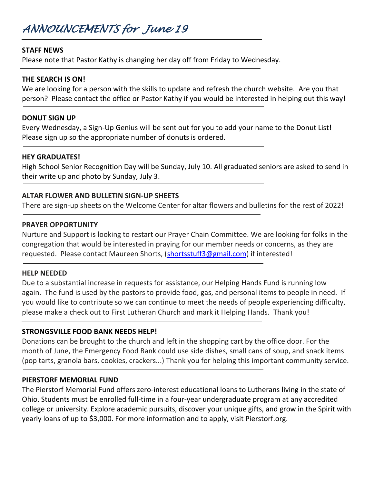# *ANNOUNCEMENTS for June 19*

## **STAFF NEWS**

Please note that Pastor Kathy is changing her day off from Friday to Wednesday.

## **THE SEARCH IS ON!**

We are looking for a person with the skills to update and refresh the church website. Are you that person? Please contact the office or Pastor Kathy if you would be interested in helping out this way!

### **DONUT SIGN UP**

Every Wednesday, a Sign-Up Genius will be sent out for you to add your name to the Donut List! Please sign up so the appropriate number of donuts is ordered.

### **HEY GRADUATES!**

High School Senior Recognition Day will be Sunday, July 10. All graduated seniors are asked to send in their write up and photo by Sunday, July 3.

# **ALTAR FLOWER AND BULLETIN SIGN-UP SHEETS**

There are sign-up sheets on the Welcome Center for altar flowers and bulletins for the rest of 2022!

## **PRAYER OPPORTUNITY**

Nurture and Support is looking to restart our Prayer Chain Committee. We are looking for folks in the congregation that would be interested in praying for our member needs or concerns, as they are requested. Please contact Maureen Shorts, [\(shortsstuff3@gmail.com\)](mailto:shortsstuff3@gmail.com) if interested!

### **HELP NEEDED**

Due to a substantial increase in requests for assistance, our Helping Hands Fund is running low again. The fund is used by the pastors to provide food, gas, and personal items to people in need. If you would like to contribute so we can continue to meet the needs of people experiencing difficulty, please make a check out to First Lutheran Church and mark it Helping Hands. Thank you!

# **STRONGSVILLE FOOD BANK NEEDS HELP!**

Donations can be brought to the church and left in the shopping cart by the office door. For the month of June, the Emergency Food Bank could use side dishes, small cans of soup, and snack items (pop tarts, granola bars, cookies, crackers...) Thank you for helping this important community service.

### **PIERSTORF MEMORIAL FUND**

The Pierstorf Memorial Fund offers zero-interest educational loans to Lutherans living in the state of Ohio. Students must be enrolled full-time in a four-year undergraduate program at any accredited college or university. Explore academic pursuits, discover your unique gifts, and grow in the Spirit with yearly loans of up to \$3,000. For more information and to apply, visit Pierstorf.org.